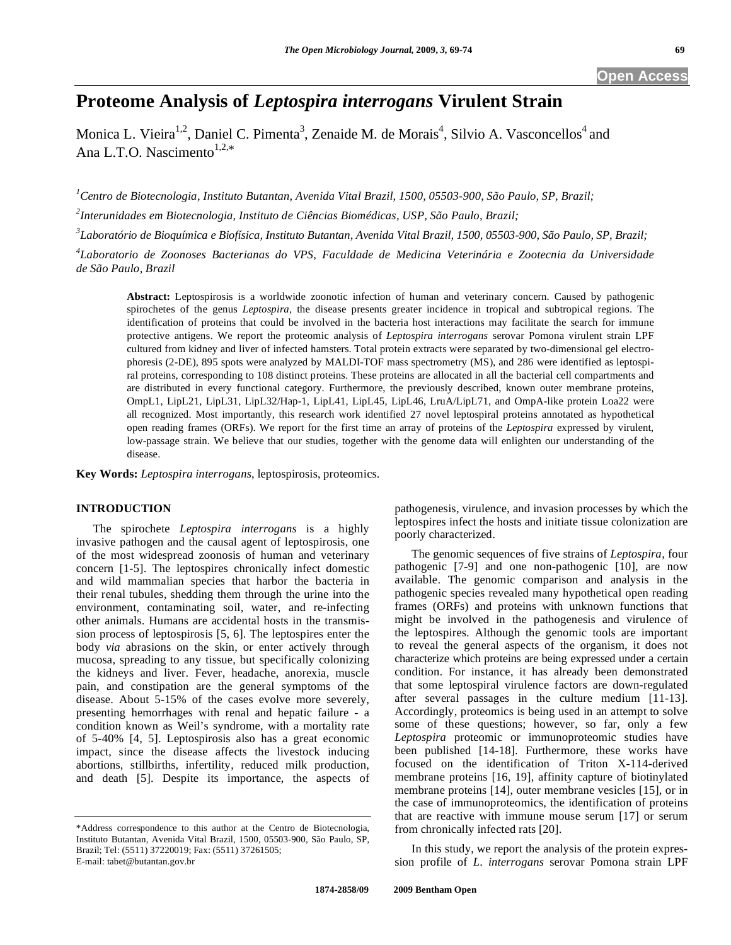# **Proteome Analysis of** *Leptospira interrogans* **Virulent Strain**

Monica L. Vieira<sup>1,2</sup>, Daniel C. Pimenta<sup>3</sup>, Zenaide M. de Morais<sup>4</sup>, Silvio A. Vasconcellos<sup>4</sup> and Ana L.T.O. Nascimento $1,2,*$ 

*1 Centro de Biotecnologia, Instituto Butantan, Avenida Vital Brazil, 1500, 05503-900, São Paulo, SP, Brazil;* 

*2 Interunidades em Biotecnologia, Instituto de Ciências Biomédicas, USP, São Paulo, Brazil;* 

*3 Laboratório de Bioquímica e Biofísica, Instituto Butantan, Avenida Vital Brazil, 1500, 05503-900, São Paulo, SP, Brazil;* 

*4 Laboratorio de Zoonoses Bacterianas do VPS, Faculdade de Medicina Veterinária e Zootecnia da Universidade de São Paulo, Brazil* 

**Abstract:** Leptospirosis is a worldwide zoonotic infection of human and veterinary concern. Caused by pathogenic spirochetes of the genus *Leptospira*, the disease presents greater incidence in tropical and subtropical regions. The identification of proteins that could be involved in the bacteria host interactions may facilitate the search for immune protective antigens. We report the proteomic analysis of *Leptospira interrogans* serovar Pomona virulent strain LPF cultured from kidney and liver of infected hamsters. Total protein extracts were separated by two-dimensional gel electrophoresis (2-DE), 895 spots were analyzed by MALDI-TOF mass spectrometry (MS), and 286 were identified as leptospiral proteins, corresponding to 108 distinct proteins. These proteins are allocated in all the bacterial cell compartments and are distributed in every functional category. Furthermore, the previously described, known outer membrane proteins, OmpL1, LipL21, LipL31, LipL32/Hap-1, LipL41, LipL45, LipL46, LruA/LipL71, and OmpA-like protein Loa22 were all recognized. Most importantly, this research work identified 27 novel leptospiral proteins annotated as hypothetical open reading frames (ORFs). We report for the first time an array of proteins of the *Leptospira* expressed by virulent, low-passage strain. We believe that our studies, together with the genome data will enlighten our understanding of the disease.

**Key Words:** *Leptospira interrogans*, leptospirosis, proteomics.

# **INTRODUCTION**

 The spirochete *Leptospira interrogans* is a highly invasive pathogen and the causal agent of leptospirosis, one of the most widespread zoonosis of human and veterinary concern [1-5]. The leptospires chronically infect domestic and wild mammalian species that harbor the bacteria in their renal tubules, shedding them through the urine into the environment, contaminating soil, water, and re-infecting other animals. Humans are accidental hosts in the transmission process of leptospirosis [5, 6]. The leptospires enter the body *via* abrasions on the skin, or enter actively through mucosa, spreading to any tissue, but specifically colonizing the kidneys and liver. Fever, headache, anorexia, muscle pain, and constipation are the general symptoms of the disease. About 5-15% of the cases evolve more severely, presenting hemorrhages with renal and hepatic failure - a condition known as Weil's syndrome, with a mortality rate of 5-40% [4, 5]. Leptospirosis also has a great economic impact, since the disease affects the livestock inducing abortions, stillbirths, infertility, reduced milk production, and death [5]. Despite its importance, the aspects of pathogenesis, virulence, and invasion processes by which the leptospires infect the hosts and initiate tissue colonization are poorly characterized.

 The genomic sequences of five strains of *Leptospira*, four pathogenic [7-9] and one non-pathogenic [10], are now available. The genomic comparison and analysis in the pathogenic species revealed many hypothetical open reading frames (ORFs) and proteins with unknown functions that might be involved in the pathogenesis and virulence of the leptospires. Although the genomic tools are important to reveal the general aspects of the organism, it does not characterize which proteins are being expressed under a certain condition. For instance, it has already been demonstrated that some leptospiral virulence factors are down-regulated after several passages in the culture medium [11-13]. Accordingly, proteomics is being used in an attempt to solve some of these questions; however, so far, only a few *Leptospira* proteomic or immunoproteomic studies have been published [14-18]. Furthermore, these works have focused on the identification of Triton X-114-derived membrane proteins [16, 19], affinity capture of biotinylated membrane proteins [14], outer membrane vesicles [15], or in the case of immunoproteomics, the identification of proteins that are reactive with immune mouse serum [17] or serum from chronically infected rats [20].

 In this study, we report the analysis of the protein expression profile of *L*. *interrogans* serovar Pomona strain LPF

<sup>\*</sup>Address correspondence to this author at the Centro de Biotecnologia, Instituto Butantan, Avenida Vital Brazil, 1500, 05503-900, São Paulo, SP, Brazil; Tel: (5511) 37220019; Fax: (5511) 37261505; E-mail: tabet@butantan.gov.br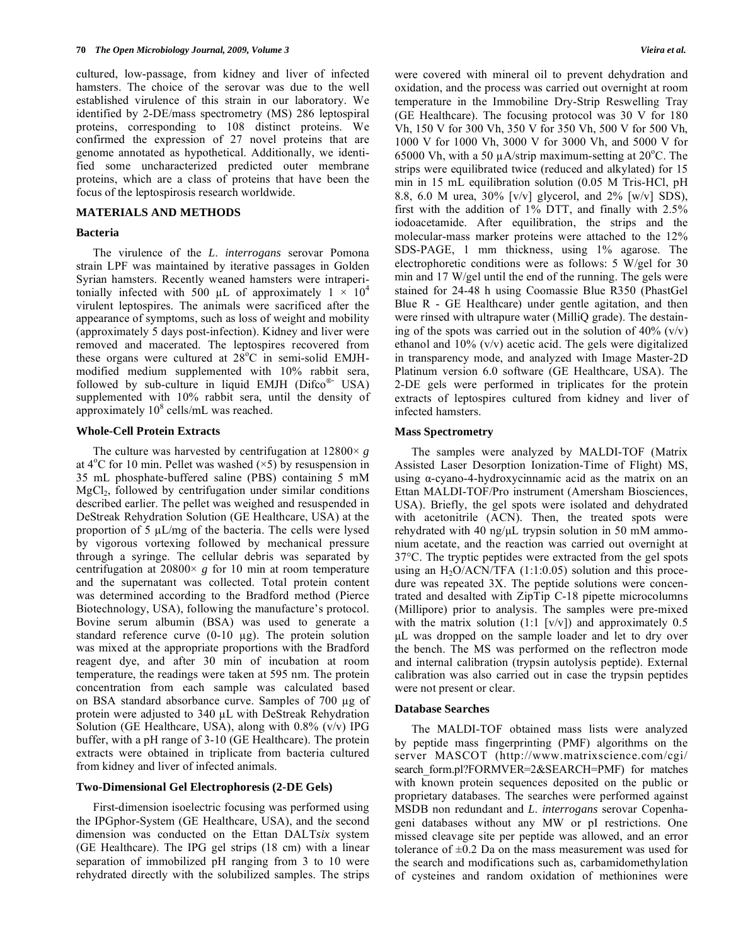cultured, low-passage, from kidney and liver of infected hamsters. The choice of the serovar was due to the well established virulence of this strain in our laboratory. We identified by 2-DE/mass spectrometry (MS) 286 leptospiral proteins, corresponding to 108 distinct proteins. We confirmed the expression of 27 novel proteins that are genome annotated as hypothetical. Additionally, we identified some uncharacterized predicted outer membrane proteins, which are a class of proteins that have been the focus of the leptospirosis research worldwide.

## **MATERIALS AND METHODS**

#### **Bacteria**

 The virulence of the *L*. *interrogans* serovar Pomona strain LPF was maintained by iterative passages in Golden Syrian hamsters. Recently weaned hamsters were intraperitonially infected with 500  $\mu$ L of approximately 1  $\times$  10<sup>4</sup> virulent leptospires. The animals were sacrificed after the appearance of symptoms, such as loss of weight and mobility (approximately 5 days post-infection). Kidney and liver were removed and macerated. The leptospires recovered from these organs were cultured at  $28^{\circ}$ C in semi-solid EMJHmodified medium supplemented with 10% rabbit sera, followed by sub-culture in liquid EMJH ( $Difco<sup>®</sup>$  USA) supplemented with 10% rabbit sera, until the density of approximately  $10^8$  cells/mL was reached.

## **Whole-Cell Protein Extracts**

The culture was harvested by centrifugation at  $12800 \times g$ at  $4^{\circ}$ C for 10 min. Pellet was washed  $(\times 5)$  by resuspension in 35 mL phosphate-buffered saline (PBS) containing 5 mM  $MgCl<sub>2</sub>$ , followed by centrifugation under similar conditions described earlier. The pellet was weighed and resuspended in DeStreak Rehydration Solution (GE Healthcare, USA) at the proportion of 5  $\mu$ L/mg of the bacteria. The cells were lysed by vigorous vortexing followed by mechanical pressure through a syringe. The cellular debris was separated by centrifugation at  $20800 \times g$  for 10 min at room temperature and the supernatant was collected. Total protein content was determined according to the Bradford method (Pierce Biotechnology, USA), following the manufacture's protocol. Bovine serum albumin (BSA) was used to generate a standard reference curve  $(0-10 \mu g)$ . The protein solution was mixed at the appropriate proportions with the Bradford reagent dye, and after 30 min of incubation at room temperature, the readings were taken at 595 nm. The protein concentration from each sample was calculated based on BSA standard absorbance curve. Samples of  $700 \mu g$  of protein were adjusted to  $340 \mu L$  with DeStreak Rehydration Solution (GE Healthcare, USA), along with 0.8% (v/v) IPG buffer, with a pH range of 3-10 (GE Healthcare). The protein extracts were obtained in triplicate from bacteria cultured from kidney and liver of infected animals.

# **Two-Dimensional Gel Electrophoresis (2-DE Gels)**

 First-dimension isoelectric focusing was performed using the IPGphor-System (GE Healthcare, USA), and the second dimension was conducted on the Ettan DALT*six* system (GE Healthcare). The IPG gel strips (18 cm) with a linear separation of immobilized pH ranging from 3 to 10 were rehydrated directly with the solubilized samples. The strips were covered with mineral oil to prevent dehydration and oxidation, and the process was carried out overnight at room temperature in the Immobiline Dry-Strip Reswelling Tray (GE Healthcare). The focusing protocol was 30 V for 180 Vh, 150 V for 300 Vh, 350 V for 350 Vh, 500 V for 500 Vh, 1000 V for 1000 Vh, 3000 V for 3000 Vh, and 5000 V for 65000 Vh, with a 50  $\mu$ A/strip maximum-setting at 20°C. The strips were equilibrated twice (reduced and alkylated) for 15 min in 15 mL equilibration solution (0.05 M Tris-HCl, pH 8.8, 6.0 M urea, 30% [v/v] glycerol, and 2% [w/v] SDS), first with the addition of 1% DTT, and finally with 2.5% iodoacetamide. After equilibration, the strips and the molecular-mass marker proteins were attached to the 12% SDS-PAGE, 1 mm thickness, using 1% agarose. The electrophoretic conditions were as follows: 5 W/gel for 30 min and 17 W/gel until the end of the running. The gels were stained for 24-48 h using Coomassie Blue R350 (PhastGel Blue R - GE Healthcare) under gentle agitation, and then were rinsed with ultrapure water (MilliQ grade). The destaining of the spots was carried out in the solution of  $40\%$  (v/v) ethanol and 10% (v/v) acetic acid. The gels were digitalized in transparency mode, and analyzed with Image Master-2D Platinum version 6.0 software (GE Healthcare, USA). The 2-DE gels were performed in triplicates for the protein extracts of leptospires cultured from kidney and liver of infected hamsters.

## **Mass Spectrometry**

 The samples were analyzed by MALDI-TOF (Matrix Assisted Laser Desorption Ionization-Time of Flight) MS, using  $\alpha$ -cyano-4-hydroxycinnamic acid as the matrix on an Ettan MALDI-TOF/Pro instrument (Amersham Biosciences, USA). Briefly, the gel spots were isolated and dehydrated with acetonitrile (ACN). Then, the treated spots were rehydrated with 40 ng/μL trypsin solution in 50 mM ammonium acetate, and the reaction was carried out overnight at 37°C. The tryptic peptides were extracted from the gel spots using an  $H_2O/ACN/TFA$  (1:1:0.05) solution and this procedure was repeated 3X. The peptide solutions were concentrated and desalted with ZipTip C-18 pipette microcolumns (Millipore) prior to analysis. The samples were pre-mixed with the matrix solution  $(1:1 \, \lceil v/v \rceil)$  and approximately 0.5 μL was dropped on the sample loader and let to dry over the bench. The MS was performed on the reflectron mode and internal calibration (trypsin autolysis peptide). External calibration was also carried out in case the trypsin peptides were not present or clear.

#### **Database Searches**

 The MALDI-TOF obtained mass lists were analyzed by peptide mass fingerprinting (PMF) algorithms on the server MASCOT (http://www.matrixscience.com/cgi/ search\_form.pl?FORMVER=2&SEARCH=PMF) for matches with known protein sequences deposited on the public or proprietary databases. The searches were performed against MSDB non redundant and *L*. *interrogans* serovar Copenhageni databases without any MW or pI restrictions. One missed cleavage site per peptide was allowed, and an error tolerance of  $\pm 0.2$  Da on the mass measurement was used for the search and modifications such as, carbamidomethylation of cysteines and random oxidation of methionines were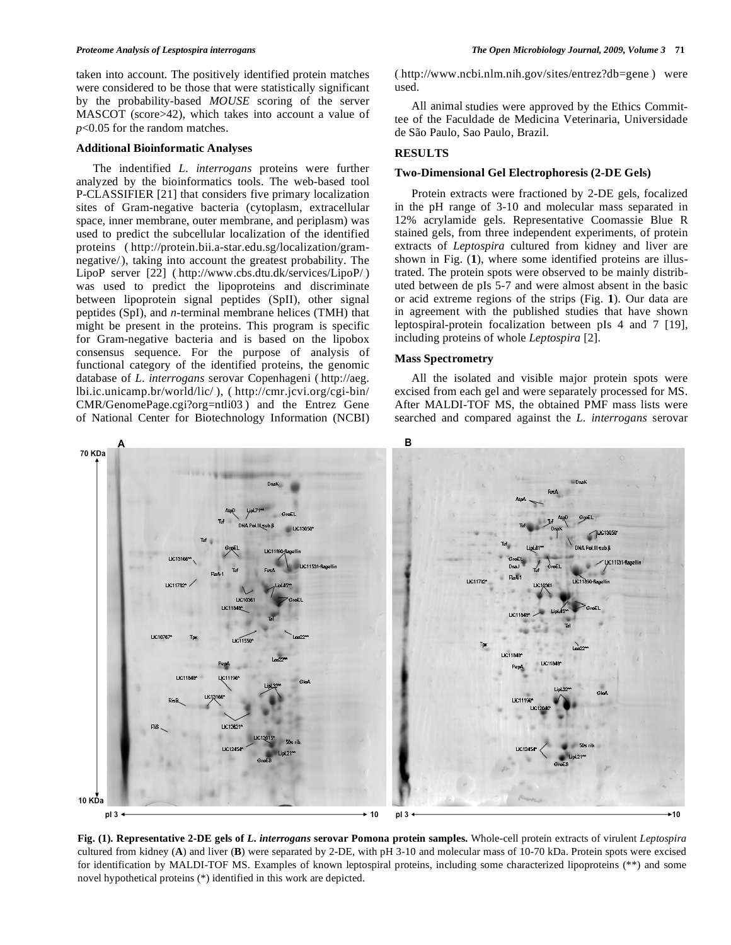taken into account. The positively identified protein matches were considered to be those that were statistically significant by the probability-based *MOUSE* scoring of the server MASCOT (score>42), which takes into account a value of *p*<0.05 for the random matches.

#### **Additional Bioinformatic Analyses**

 The indentified *L*. *interrogans* proteins were further analyzed by the bioinformatics tools. The web-based tool P-CLASSIFIER [21] that considers five primary localization sites of Gram-negative bacteria (cytoplasm, extracellular space, inner membrane, outer membrane, and periplasm) was used to predict the subcellular localization of the identified proteins (.http://protein.bii.a-star.edu.sg/localization/gramnegative/), taking into account the greatest probability. The LipoP server  $[22]$  (http://www.cbs.dtu.dk/services/LipoP/.) was used to predict the lipoproteins and discriminate between lipoprotein signal peptides (SpII), other signal peptides (SpI), and *n*-terminal membrane helices (TMH) that might be present in the proteins. This program is specific for Gram-negative bacteria and is based on the lipobox consensus sequence. For the purpose of analysis of functional category of the identified proteins, the genomic database of *L. interrogans* serovar Copenhageni (http://aeg. lbi.ic.unicamp.br/world/lic/.), (.http://cmr.jcvi.org/cgi-bin/ CMR/GenomePage.cgi?org=ntli03.) and the Entrez Gene of National Center for Biotechnology Information (NCBI)

 $(\text{http://www.ncbi.nlm.nih.gov/sites/entrez?db=gene})$  were used.

 All animal studies were approved by the Ethics Committee of the Faculdade de Medicina Veterinaria, Universidade de São Paulo, Sao Paulo, Brazil.

## **RESULTS**

#### **Two-Dimensional Gel Electrophoresis (2-DE Gels)**

 Protein extracts were fractioned by 2-DE gels, focalized in the pH range of 3-10 and molecular mass separated in 12% acrylamide gels. Representative Coomassie Blue R stained gels, from three independent experiments, of protein extracts of *Leptospira* cultured from kidney and liver are shown in Fig. (**1**), where some identified proteins are illustrated. The protein spots were observed to be mainly distributed between de pIs 5-7 and were almost absent in the basic or acid extreme regions of the strips (Fig. **1**). Our data are in agreement with the published studies that have shown leptospiral-protein focalization between pIs 4 and 7 [19], including proteins of whole *Leptospira* [2].

#### **Mass Spectrometry**

 All the isolated and visible major protein spots were excised from each gel and were separately processed for MS. After MALDI-TOF MS, the obtained PMF mass lists were searched and compared against the *L*. *interrogans* serovar



**Fig. (1). Representative 2-DE gels of** *L***.** *interrogans* **serovar Pomona protein samples.** Whole-cell protein extracts of virulent *Leptospira*  cultured from kidney (**A**) and liver (**B**) were separated by 2-DE, with pH 3-10 and molecular mass of 10-70 kDa. Protein spots were excised for identification by MALDI-TOF MS. Examples of known leptospiral proteins, including some characterized lipoproteins (\*\*) and some novel hypothetical proteins (\*) identified in this work are depicted.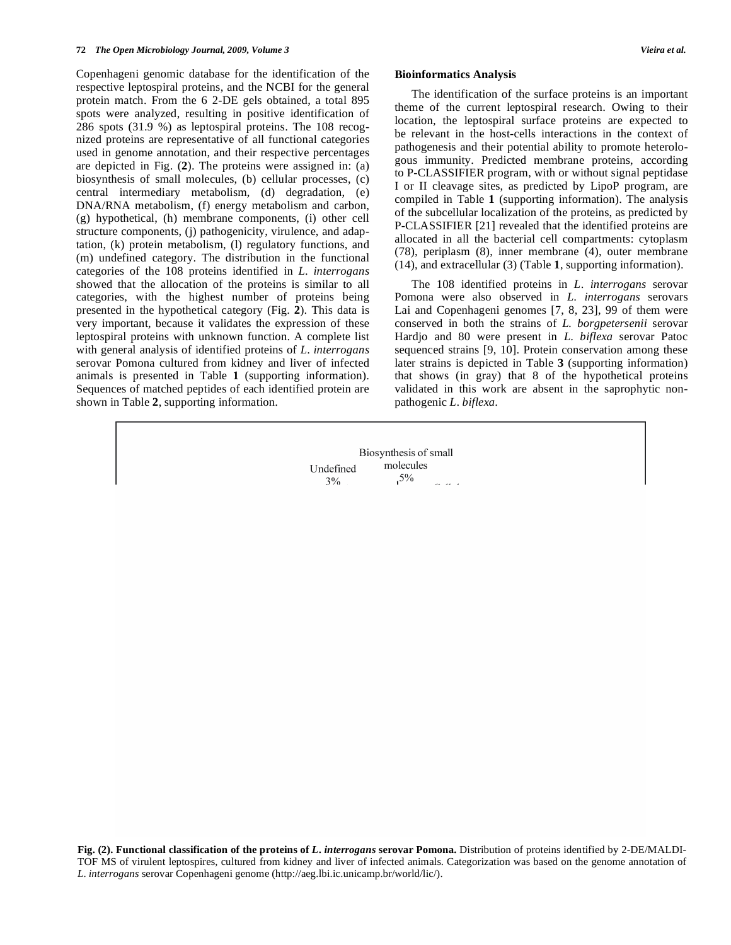Copenhageni genomic database for the identification of the respective leptospiral proteins, and the NCBI for the general protein match. From the 6 2-DE gels obtained, a total 895 spots were analyzed, resulting in positive identification of 286 spots (31.9 %) as leptospiral proteins. The 108 recognized proteins are representative of all functional categories used in genome annotation, and their respective percentages are depicted in Fig. (**2**). The proteins were assigned in: (a) biosynthesis of small molecules, (b) cellular processes, (c) central intermediary metabolism, (d) degradation, (e) DNA/RNA metabolism, (f) energy metabolism and carbon, (g) hypothetical, (h) membrane components, (i) other cell structure components, (j) pathogenicity, virulence, and adaptation, (k) protein metabolism, (l) regulatory functions, and (m) undefined category. The distribution in the functional categories of the 108 proteins identified in *L*. *interrogans* showed that the allocation of the proteins is similar to all categories, with the highest number of proteins being presented in the hypothetical category (Fig. **2**). This data is very important, because it validates the expression of these leptospiral proteins with unknown function. A complete list with general analysis of identified proteins of *L*. *interrogans* serovar Pomona cultured from kidney and liver of infected animals is presented in Table **1** (supporting information). Sequences of matched peptides of each identified protein are shown in Table **2**, supporting information.

#### **Bioinformatics Analysis**

 The identification of the surface proteins is an important theme of the current leptospiral research. Owing to their location, the leptospiral surface proteins are expected to be relevant in the host-cells interactions in the context of pathogenesis and their potential ability to promote heterologous immunity. Predicted membrane proteins, according to P-CLASSIFIER program, with or without signal peptidase I or II cleavage sites, as predicted by LipoP program, are compiled in Table **1** (supporting information). The analysis of the subcellular localization of the proteins, as predicted by P-CLASSIFIER [21] revealed that the identified proteins are allocated in all the bacterial cell compartments: cytoplasm (78), periplasm (8), inner membrane (4), outer membrane (14), and extracellular (3) (Table **1**, supporting information).

 The 108 identified proteins in *L*. *interrogans* serovar Pomona were also observed in *L*. *interrogans* serovars Lai and Copenhageni genomes [7, 8, 23], 99 of them were conserved in both the strains of *L. borgpetersenii* serovar Hardjo and 80 were present in *L*. *biflexa* serovar Patoc sequenced strains [9, 10]. Protein conservation among these later strains is depicted in Table **3** (supporting information) that shows (in gray) that 8 of the hypothetical proteins validated in this work are absent in the saprophytic nonpathogenic *L*. *biflexa*.

**Fig. (2). Functional classification of the proteins of** *L***.** *interrogans* **serovar Pomona.** Distribution of proteins identified by 2-DE/MALDI-TOF MS of virulent leptospires, cultured from kidney and liver of infected animals. Categorization was based on the genome annotation of *L*. *interrogans* serovar Copenhageni genome (http://aeg.lbi.ic.unicamp.br/world/lic/).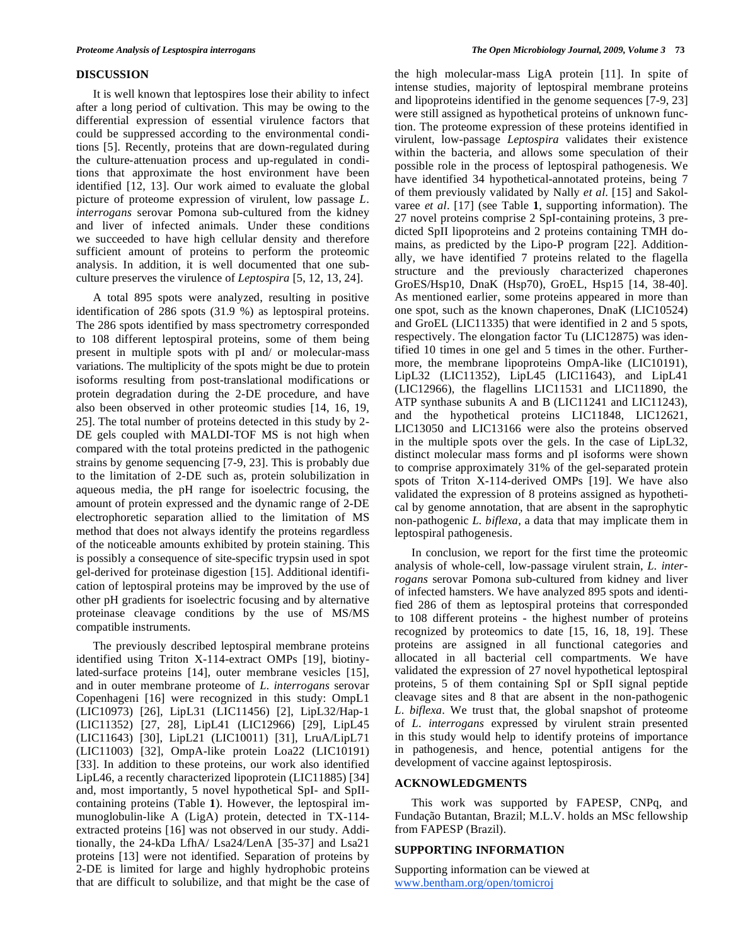# **DISCUSSION**

 It is well known that leptospires lose their ability to infect after a long period of cultivation. This may be owing to the differential expression of essential virulence factors that could be suppressed according to the environmental conditions [5]. Recently, proteins that are down-regulated during the culture-attenuation process and up-regulated in conditions that approximate the host environment have been identified [12, 13]. Our work aimed to evaluate the global picture of proteome expression of virulent, low passage *L*. *interrogans* serovar Pomona sub-cultured from the kidney and liver of infected animals. Under these conditions we succeeded to have high cellular density and therefore sufficient amount of proteins to perform the proteomic analysis. In addition, it is well documented that one subculture preserves the virulence of *Leptospira* [5, 12, 13, 24].

 A total 895 spots were analyzed, resulting in positive identification of 286 spots (31.9 %) as leptospiral proteins. The 286 spots identified by mass spectrometry corresponded to 108 different leptospiral proteins, some of them being present in multiple spots with pI and/ or molecular-mass variations. The multiplicity of the spots might be due to protein isoforms resulting from post-translational modifications or protein degradation during the 2-DE procedure, and have also been observed in other proteomic studies [14, 16, 19, 25]. The total number of proteins detected in this study by 2- DE gels coupled with MALDI-TOF MS is not high when compared with the total proteins predicted in the pathogenic strains by genome sequencing [7-9, 23]. This is probably due to the limitation of 2-DE such as, protein solubilization in aqueous media, the pH range for isoelectric focusing, the amount of protein expressed and the dynamic range of 2-DE electrophoretic separation allied to the limitation of MS method that does not always identify the proteins regardless of the noticeable amounts exhibited by protein staining. This is possibly a consequence of site-specific trypsin used in spot gel-derived for proteinase digestion [15]. Additional identification of leptospiral proteins may be improved by the use of other pH gradients for isoelectric focusing and by alternative proteinase cleavage conditions by the use of MS/MS compatible instruments.

 The previously described leptospiral membrane proteins identified using Triton X-114-extract OMPs [19], biotinylated-surface proteins [14], outer membrane vesicles [15], and in outer membrane proteome of *L*. *interrogans* serovar Copenhageni [16] were recognized in this study: OmpL1 (LIC10973) [26], LipL31 (LIC11456) [2], LipL32/Hap-1 (LIC11352) [27, 28], LipL41 (LIC12966) [29], LipL45 (LIC11643) [30], LipL21 (LIC10011) [31], LruA/LipL71 (LIC11003) [32], OmpA-like protein Loa22 (LIC10191) [33]. In addition to these proteins, our work also identified LipL46, a recently characterized lipoprotein (LIC11885) [34] and, most importantly, 5 novel hypothetical SpI- and SpIIcontaining proteins (Table **1**). However, the leptospiral immunoglobulin-like A (LigA) protein, detected in TX-114 extracted proteins [16] was not observed in our study. Additionally, the 24-kDa LfhA/ Lsa24/LenA [35-37] and Lsa21 proteins [13] were not identified. Separation of proteins by 2-DE is limited for large and highly hydrophobic proteins that are difficult to solubilize, and that might be the case of

the high molecular-mass LigA protein [11]. In spite of intense studies, majority of leptospiral membrane proteins and lipoproteins identified in the genome sequences [7-9, 23] were still assigned as hypothetical proteins of unknown function. The proteome expression of these proteins identified in virulent, low-passage *Leptospira* validates their existence within the bacteria, and allows some speculation of their possible role in the process of leptospiral pathogenesis. We have identified 34 hypothetical-annotated proteins, being 7 of them previously validated by Nally *et al*. [15] and Sakolvaree *et al*. [17] (see Table **1**, supporting information). The 27 novel proteins comprise 2 SpI-containing proteins, 3 predicted SpII lipoproteins and 2 proteins containing TMH domains, as predicted by the Lipo-P program [22]. Additionally, we have identified 7 proteins related to the flagella structure and the previously characterized chaperones GroES/Hsp10, DnaK (Hsp70), GroEL, Hsp15 [14, 38-40]. As mentioned earlier, some proteins appeared in more than one spot, such as the known chaperones, DnaK (LIC10524) and GroEL (LIC11335) that were identified in 2 and 5 spots, respectively. The elongation factor Tu (LIC12875) was identified 10 times in one gel and 5 times in the other. Furthermore, the membrane lipoproteins OmpA-like (LIC10191), LipL32 (LIC11352), LipL45 (LIC11643), and LipL41 (LIC12966), the flagellins LIC11531 and LIC11890, the ATP synthase subunits A and B (LIC11241 and LIC11243), and the hypothetical proteins LIC11848, LIC12621, LIC13050 and LIC13166 were also the proteins observed in the multiple spots over the gels. In the case of LipL32, distinct molecular mass forms and pI isoforms were shown to comprise approximately 31% of the gel-separated protein spots of Triton X-114-derived OMPs [19]. We have also validated the expression of 8 proteins assigned as hypothetical by genome annotation, that are absent in the saprophytic non-pathogenic *L. biflexa,* a data that may implicate them in leptospiral pathogenesis.

 In conclusion, we report for the first time the proteomic analysis of whole-cell, low-passage virulent strain, *L*. *interrogans* serovar Pomona sub-cultured from kidney and liver of infected hamsters. We have analyzed 895 spots and identified 286 of them as leptospiral proteins that corresponded to 108 different proteins - the highest number of proteins recognized by proteomics to date [15, 16, 18, 19]. These proteins are assigned in all functional categories and allocated in all bacterial cell compartments. We have validated the expression of 27 novel hypothetical leptospiral proteins, 5 of them containing SpI or SpII signal peptide cleavage sites and 8 that are absent in the non-pathogenic *L*. *biflexa*. We trust that, the global snapshot of proteome of *L*. *interrogans* expressed by virulent strain presented in this study would help to identify proteins of importance in pathogenesis, and hence, potential antigens for the development of vaccine against leptospirosis.

# **ACKNOWLEDGMENTS**

 This work was supported by FAPESP, CNPq, and Fundação Butantan, Brazil; M.L.V. holds an MSc fellowship from FAPESP (Brazil).

# **SUPPORTING INFORMATION**

Supporting information can be viewed at www.bentham.org/open/tomicroj